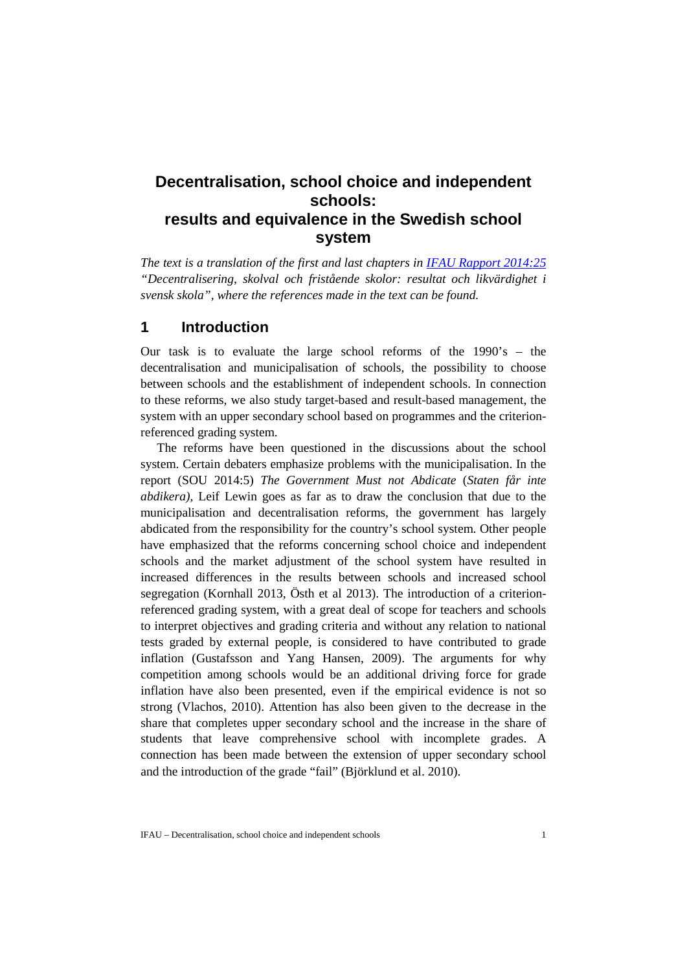# **Decentralisation, school choice and independent schools: results and equivalence in the Swedish school system**

*The text is a translation of the first and last chapters in [IFAU Rapport 2014:25](http://www.ifau.se/Upload/pdf/se/2014/r-2014-25-Decentralisering-skolval-och-friskolor.pdf) "Decentralisering, skolval och fristående skolor: resultat och likvärdighet i svensk skola", where the references made in the text can be found.* 

# **1 Introduction**

Our task is to evaluate the large school reforms of the 1990's – the decentralisation and municipalisation of schools, the possibility to choose between schools and the establishment of independent schools. In connection to these reforms, we also study target-based and result-based management, the system with an upper secondary school based on programmes and the criterionreferenced grading system.

The reforms have been questioned in the discussions about the school system. Certain debaters emphasize problems with the municipalisation. In the report (SOU 2014:5) *The Government Must not Abdicate* (*Staten får inte abdikera)*, Leif Lewin goes as far as to draw the conclusion that due to the municipalisation and decentralisation reforms, the government has largely abdicated from the responsibility for the country's school system. Other people have emphasized that the reforms concerning school choice and independent schools and the market adjustment of the school system have resulted in increased differences in the results between schools and increased school segregation (Kornhall 2013, Östh et al 2013). The introduction of a criterionreferenced grading system, with a great deal of scope for teachers and schools to interpret objectives and grading criteria and without any relation to national tests graded by external people, is considered to have contributed to grade inflation (Gustafsson and Yang Hansen, 2009). The arguments for why competition among schools would be an additional driving force for grade inflation have also been presented, even if the empirical evidence is not so strong (Vlachos, 2010). Attention has also been given to the decrease in the share that completes upper secondary school and the increase in the share of students that leave comprehensive school with incomplete grades. A connection has been made between the extension of upper secondary school and the introduction of the grade "fail" (Björklund et al. 2010).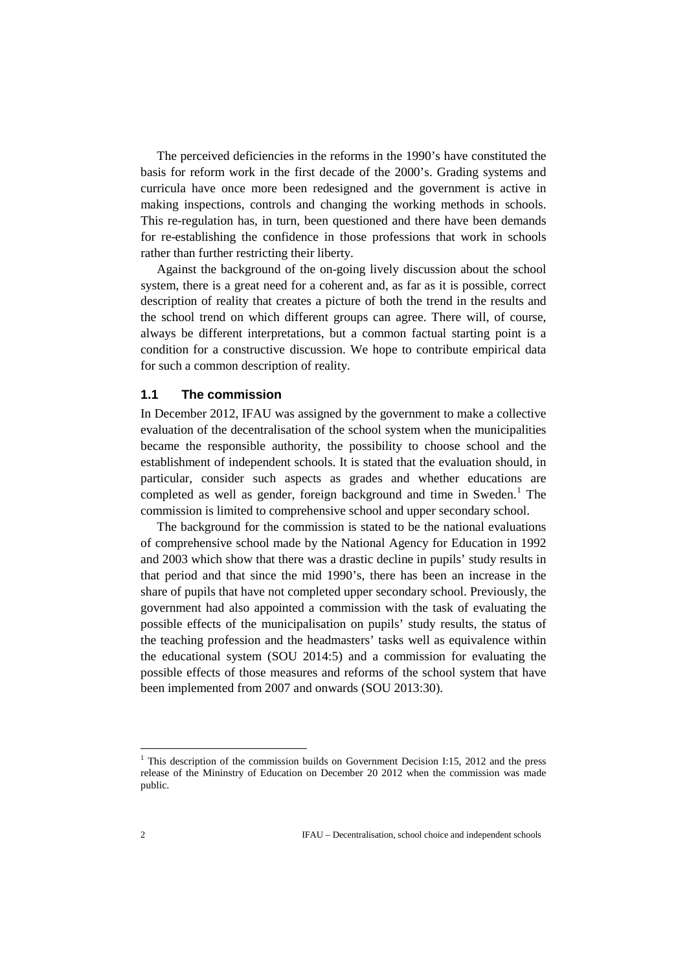The perceived deficiencies in the reforms in the 1990's have constituted the basis for reform work in the first decade of the 2000's. Grading systems and curricula have once more been redesigned and the government is active in making inspections, controls and changing the working methods in schools. This re-regulation has, in turn, been questioned and there have been demands for re-establishing the confidence in those professions that work in schools rather than further restricting their liberty.

Against the background of the on-going lively discussion about the school system, there is a great need for a coherent and, as far as it is possible, correct description of reality that creates a picture of both the trend in the results and the school trend on which different groups can agree. There will, of course, always be different interpretations, but a common factual starting point is a condition for a constructive discussion. We hope to contribute empirical data for such a common description of reality.

### **1.1 The commission**

In December 2012, IFAU was assigned by the government to make a collective evaluation of the decentralisation of the school system when the municipalities became the responsible authority, the possibility to choose school and the establishment of independent schools. It is stated that the evaluation should, in particular, consider such aspects as grades and whether educations are completed as well as gender, foreign background and time in Sweden. [1](#page-1-0) The commission is limited to comprehensive school and upper secondary school.

The background for the commission is stated to be the national evaluations of comprehensive school made by the National Agency for Education in 1992 and 2003 which show that there was a drastic decline in pupils' study results in that period and that since the mid 1990's, there has been an increase in the share of pupils that have not completed upper secondary school. Previously, the government had also appointed a commission with the task of evaluating the possible effects of the municipalisation on pupils' study results, the status of the teaching profession and the headmasters' tasks well as equivalence within the educational system (SOU 2014:5) and a commission for evaluating the possible effects of those measures and reforms of the school system that have been implemented from 2007 and onwards (SOU 2013:30).

<u>.</u>

<span id="page-1-0"></span> $1$  This description of the commission builds on Government Decision I:15, 2012 and the press release of the Mininstry of Education on December 20 2012 when the commission was made public.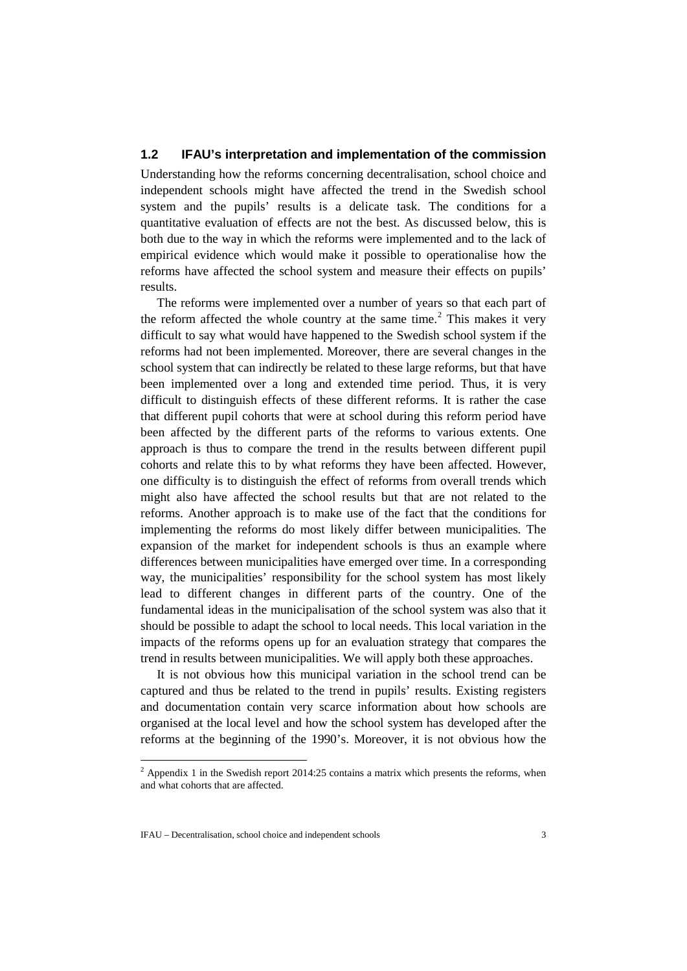### **1.2 IFAU's interpretation and implementation of the commission**

Understanding how the reforms concerning decentralisation, school choice and independent schools might have affected the trend in the Swedish school system and the pupils' results is a delicate task. The conditions for a quantitative evaluation of effects are not the best. As discussed below, this is both due to the way in which the reforms were implemented and to the lack of empirical evidence which would make it possible to operationalise how the reforms have affected the school system and measure their effects on pupils' results.

The reforms were implemented over a number of years so that each part of the reform affected the whole country at the same time. [2](#page-2-0) This makes it very difficult to say what would have happened to the Swedish school system if the reforms had not been implemented. Moreover, there are several changes in the school system that can indirectly be related to these large reforms, but that have been implemented over a long and extended time period. Thus, it is very difficult to distinguish effects of these different reforms. It is rather the case that different pupil cohorts that were at school during this reform period have been affected by the different parts of the reforms to various extents. One approach is thus to compare the trend in the results between different pupil cohorts and relate this to by what reforms they have been affected. However, one difficulty is to distinguish the effect of reforms from overall trends which might also have affected the school results but that are not related to the reforms. Another approach is to make use of the fact that the conditions for implementing the reforms do most likely differ between municipalities. The expansion of the market for independent schools is thus an example where differences between municipalities have emerged over time. In a corresponding way, the municipalities' responsibility for the school system has most likely lead to different changes in different parts of the country. One of the fundamental ideas in the municipalisation of the school system was also that it should be possible to adapt the school to local needs. This local variation in the impacts of the reforms opens up for an evaluation strategy that compares the trend in results between municipalities. We will apply both these approaches.

It is not obvious how this municipal variation in the school trend can be captured and thus be related to the trend in pupils' results. Existing registers and documentation contain very scarce information about how schools are organised at the local level and how the school system has developed after the reforms at the beginning of the 1990's. Moreover, it is not obvious how the

-

<span id="page-2-0"></span> $<sup>2</sup>$  Appendix 1 in the Swedish report 2014:25 contains a matrix which presents the reforms, when</sup> and what cohorts that are affected.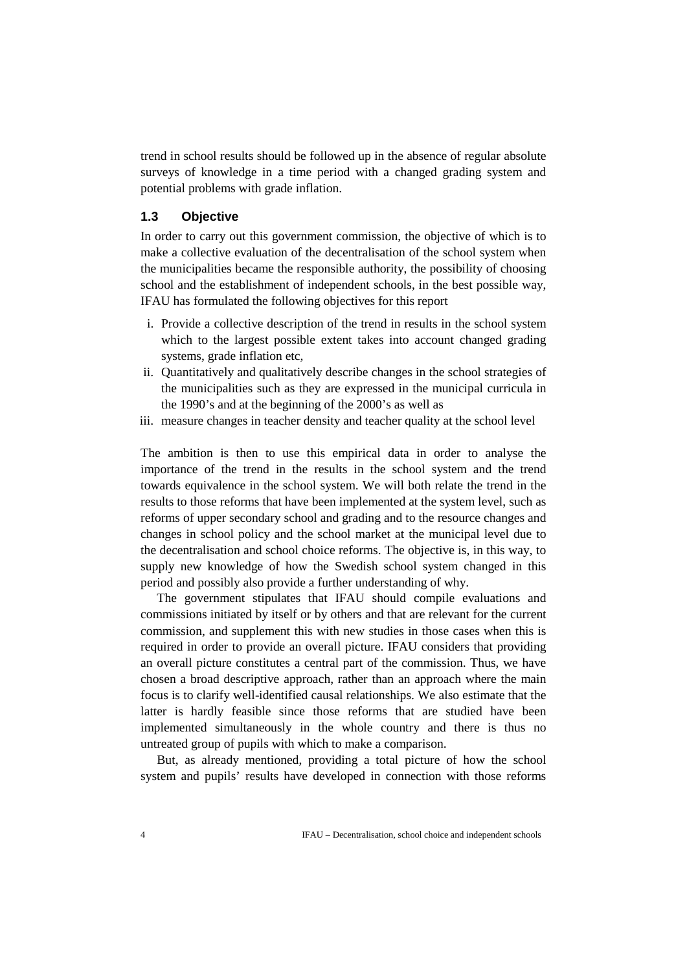trend in school results should be followed up in the absence of regular absolute surveys of knowledge in a time period with a changed grading system and potential problems with grade inflation.

### **1.3 Objective**

In order to carry out this government commission, the objective of which is to make a collective evaluation of the decentralisation of the school system when the municipalities became the responsible authority, the possibility of choosing school and the establishment of independent schools, in the best possible way, IFAU has formulated the following objectives for this report

- i. Provide a collective description of the trend in results in the school system which to the largest possible extent takes into account changed grading systems, grade inflation etc,
- ii. Quantitatively and qualitatively describe changes in the school strategies of the municipalities such as they are expressed in the municipal curricula in the 1990's and at the beginning of the 2000's as well as
- iii. measure changes in teacher density and teacher quality at the school level

The ambition is then to use this empirical data in order to analyse the importance of the trend in the results in the school system and the trend towards equivalence in the school system. We will both relate the trend in the results to those reforms that have been implemented at the system level, such as reforms of upper secondary school and grading and to the resource changes and changes in school policy and the school market at the municipal level due to the decentralisation and school choice reforms. The objective is, in this way, to supply new knowledge of how the Swedish school system changed in this period and possibly also provide a further understanding of why.

The government stipulates that IFAU should compile evaluations and commissions initiated by itself or by others and that are relevant for the current commission, and supplement this with new studies in those cases when this is required in order to provide an overall picture. IFAU considers that providing an overall picture constitutes a central part of the commission. Thus, we have chosen a broad descriptive approach, rather than an approach where the main focus is to clarify well-identified causal relationships. We also estimate that the latter is hardly feasible since those reforms that are studied have been implemented simultaneously in the whole country and there is thus no untreated group of pupils with which to make a comparison.

But, as already mentioned, providing a total picture of how the school system and pupils' results have developed in connection with those reforms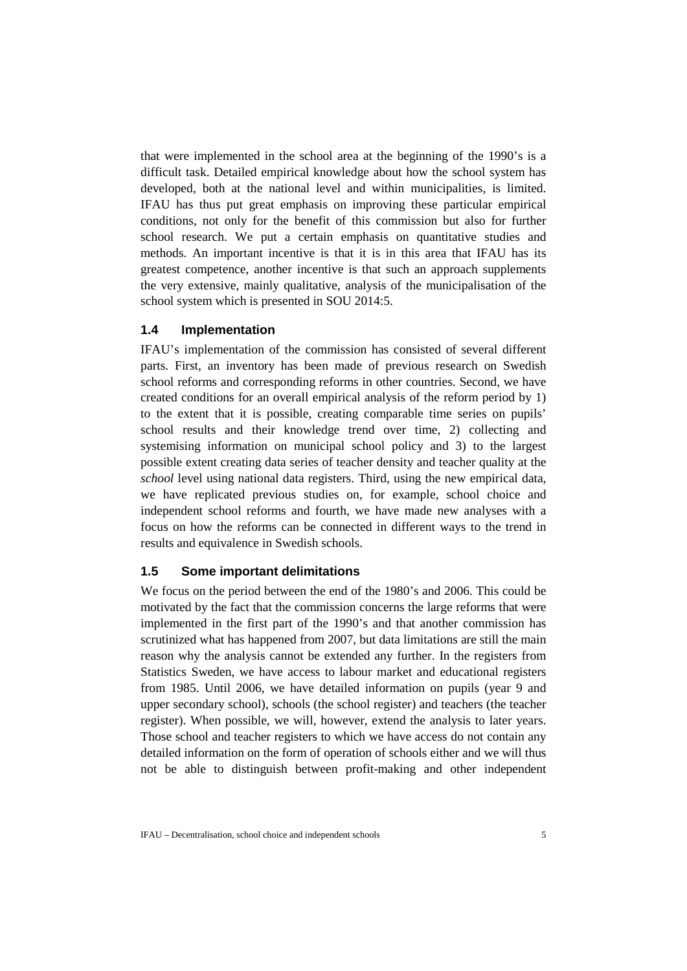that were implemented in the school area at the beginning of the 1990's is a difficult task. Detailed empirical knowledge about how the school system has developed, both at the national level and within municipalities, is limited. IFAU has thus put great emphasis on improving these particular empirical conditions, not only for the benefit of this commission but also for further school research. We put a certain emphasis on quantitative studies and methods. An important incentive is that it is in this area that IFAU has its greatest competence, another incentive is that such an approach supplements the very extensive, mainly qualitative, analysis of the municipalisation of the school system which is presented in SOU 2014:5.

### **1.4 Implementation**

IFAU's implementation of the commission has consisted of several different parts. First, an inventory has been made of previous research on Swedish school reforms and corresponding reforms in other countries. Second, we have created conditions for an overall empirical analysis of the reform period by 1) to the extent that it is possible, creating comparable time series on pupils' school results and their knowledge trend over time, 2) collecting and systemising information on municipal school policy and 3) to the largest possible extent creating data series of teacher density and teacher quality at the *school* level using national data registers. Third, using the new empirical data, we have replicated previous studies on, for example, school choice and independent school reforms and fourth, we have made new analyses with a focus on how the reforms can be connected in different ways to the trend in results and equivalence in Swedish schools.

## **1.5 Some important delimitations**

We focus on the period between the end of the 1980's and 2006. This could be motivated by the fact that the commission concerns the large reforms that were implemented in the first part of the 1990's and that another commission has scrutinized what has happened from 2007, but data limitations are still the main reason why the analysis cannot be extended any further. In the registers from Statistics Sweden, we have access to labour market and educational registers from 1985. Until 2006, we have detailed information on pupils (year 9 and upper secondary school), schools (the school register) and teachers (the teacher register). When possible, we will, however, extend the analysis to later years. Those school and teacher registers to which we have access do not contain any detailed information on the form of operation of schools either and we will thus not be able to distinguish between profit-making and other independent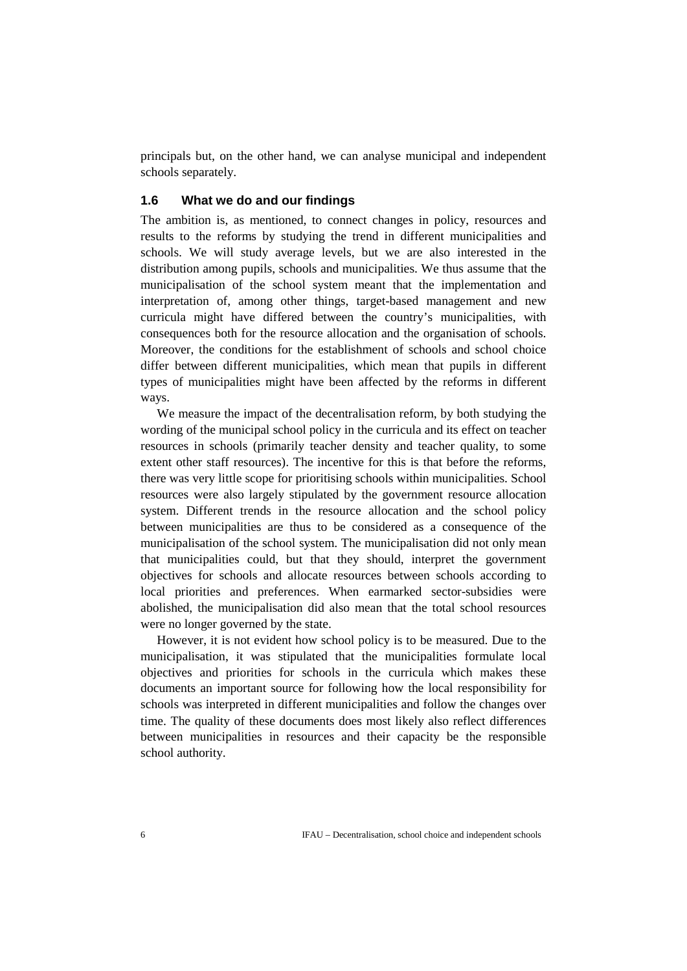principals but, on the other hand, we can analyse municipal and independent schools separately.

## **1.6 What we do and our findings**

The ambition is, as mentioned, to connect changes in policy, resources and results to the reforms by studying the trend in different municipalities and schools. We will study average levels, but we are also interested in the distribution among pupils, schools and municipalities. We thus assume that the municipalisation of the school system meant that the implementation and interpretation of, among other things, target-based management and new curricula might have differed between the country's municipalities, with consequences both for the resource allocation and the organisation of schools. Moreover, the conditions for the establishment of schools and school choice differ between different municipalities, which mean that pupils in different types of municipalities might have been affected by the reforms in different ways.

We measure the impact of the decentralisation reform, by both studying the wording of the municipal school policy in the curricula and its effect on teacher resources in schools (primarily teacher density and teacher quality, to some extent other staff resources). The incentive for this is that before the reforms, there was very little scope for prioritising schools within municipalities. School resources were also largely stipulated by the government resource allocation system. Different trends in the resource allocation and the school policy between municipalities are thus to be considered as a consequence of the municipalisation of the school system. The municipalisation did not only mean that municipalities could, but that they should, interpret the government objectives for schools and allocate resources between schools according to local priorities and preferences. When earmarked sector-subsidies were abolished, the municipalisation did also mean that the total school resources were no longer governed by the state.

However, it is not evident how school policy is to be measured. Due to the municipalisation, it was stipulated that the municipalities formulate local objectives and priorities for schools in the curricula which makes these documents an important source for following how the local responsibility for schools was interpreted in different municipalities and follow the changes over time. The quality of these documents does most likely also reflect differences between municipalities in resources and their capacity be the responsible school authority.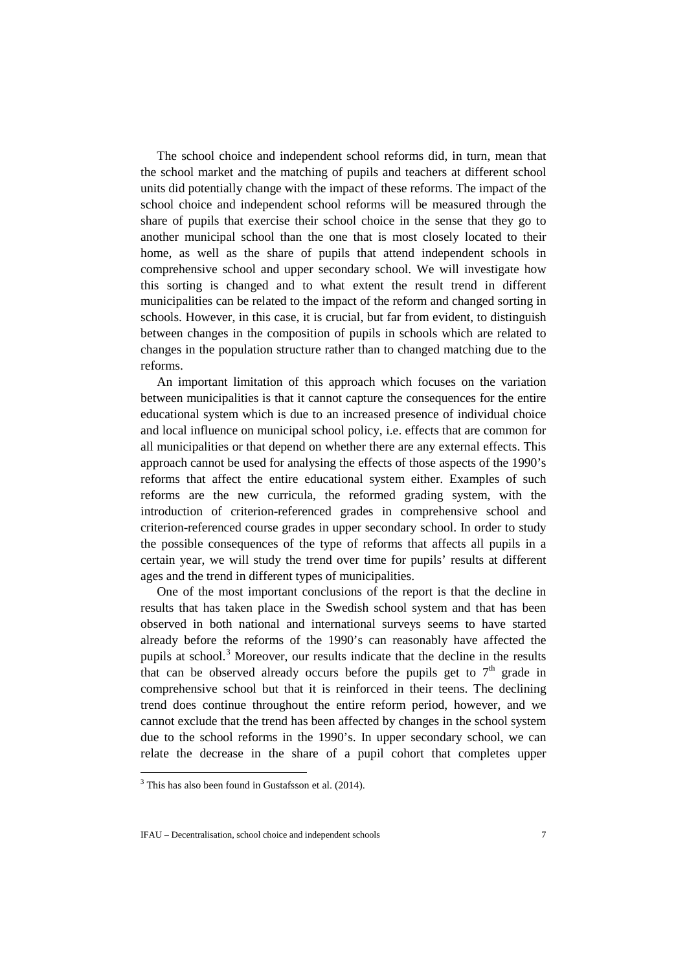The school choice and independent school reforms did, in turn, mean that the school market and the matching of pupils and teachers at different school units did potentially change with the impact of these reforms. The impact of the school choice and independent school reforms will be measured through the share of pupils that exercise their school choice in the sense that they go to another municipal school than the one that is most closely located to their home, as well as the share of pupils that attend independent schools in comprehensive school and upper secondary school. We will investigate how this sorting is changed and to what extent the result trend in different municipalities can be related to the impact of the reform and changed sorting in schools. However, in this case, it is crucial, but far from evident, to distinguish between changes in the composition of pupils in schools which are related to changes in the population structure rather than to changed matching due to the reforms.

An important limitation of this approach which focuses on the variation between municipalities is that it cannot capture the consequences for the entire educational system which is due to an increased presence of individual choice and local influence on municipal school policy, i.e. effects that are common for all municipalities or that depend on whether there are any external effects. This approach cannot be used for analysing the effects of those aspects of the 1990's reforms that affect the entire educational system either. Examples of such reforms are the new curricula, the reformed grading system, with the introduction of criterion-referenced grades in comprehensive school and criterion-referenced course grades in upper secondary school. In order to study the possible consequences of the type of reforms that affects all pupils in a certain year, we will study the trend over time for pupils' results at different ages and the trend in different types of municipalities.

One of the most important conclusions of the report is that the decline in results that has taken place in the Swedish school system and that has been observed in both national and international surveys seems to have started already before the reforms of the 1990's can reasonably have affected the pupils at school. [3](#page-6-0) Moreover, our results indicate that the decline in the results that can be observed already occurs before the pupils get to  $7<sup>th</sup>$  grade in comprehensive school but that it is reinforced in their teens. The declining trend does continue throughout the entire reform period, however, and we cannot exclude that the trend has been affected by changes in the school system due to the school reforms in the 1990's. In upper secondary school, we can relate the decrease in the share of a pupil cohort that completes upper

<u>.</u>

<span id="page-6-0"></span> $3$  This has also been found in Gustafsson et al. (2014).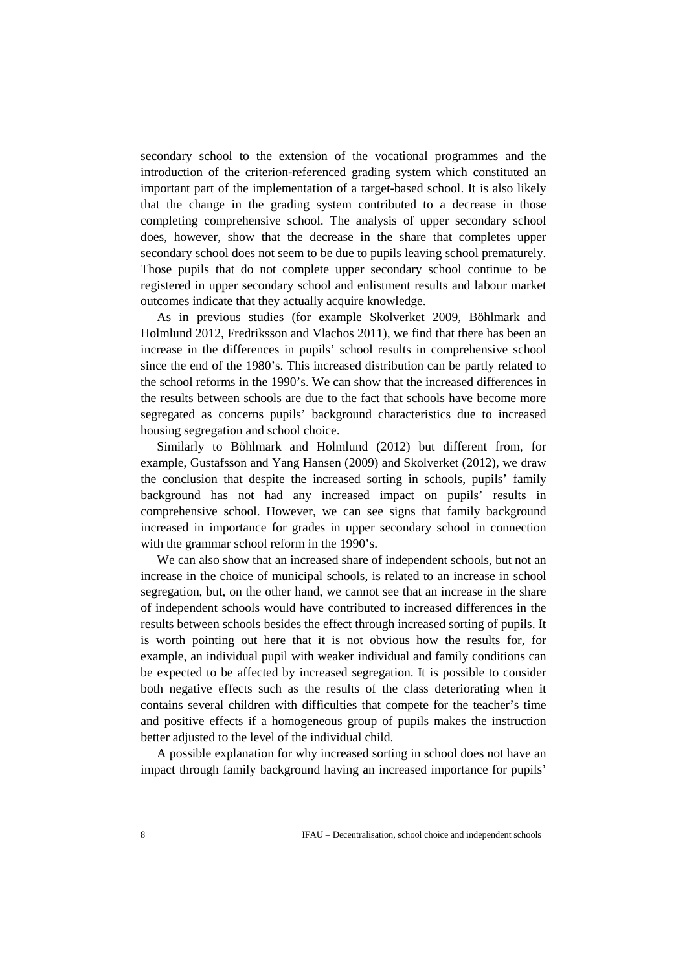secondary school to the extension of the vocational programmes and the introduction of the criterion-referenced grading system which constituted an important part of the implementation of a target-based school. It is also likely that the change in the grading system contributed to a decrease in those completing comprehensive school. The analysis of upper secondary school does, however, show that the decrease in the share that completes upper secondary school does not seem to be due to pupils leaving school prematurely. Those pupils that do not complete upper secondary school continue to be registered in upper secondary school and enlistment results and labour market outcomes indicate that they actually acquire knowledge.

As in previous studies (for example Skolverket 2009, Böhlmark and Holmlund 2012, Fredriksson and Vlachos 2011), we find that there has been an increase in the differences in pupils' school results in comprehensive school since the end of the 1980's. This increased distribution can be partly related to the school reforms in the 1990's. We can show that the increased differences in the results between schools are due to the fact that schools have become more segregated as concerns pupils' background characteristics due to increased housing segregation and school choice.

Similarly to Böhlmark and Holmlund (2012) but different from, for example, Gustafsson and Yang Hansen (2009) and Skolverket (2012), we draw the conclusion that despite the increased sorting in schools, pupils' family background has not had any increased impact on pupils' results in comprehensive school. However, we can see signs that family background increased in importance for grades in upper secondary school in connection with the grammar school reform in the 1990's.

We can also show that an increased share of independent schools, but not an increase in the choice of municipal schools, is related to an increase in school segregation, but, on the other hand, we cannot see that an increase in the share of independent schools would have contributed to increased differences in the results between schools besides the effect through increased sorting of pupils. It is worth pointing out here that it is not obvious how the results for, for example, an individual pupil with weaker individual and family conditions can be expected to be affected by increased segregation. It is possible to consider both negative effects such as the results of the class deteriorating when it contains several children with difficulties that compete for the teacher's time and positive effects if a homogeneous group of pupils makes the instruction better adjusted to the level of the individual child.

A possible explanation for why increased sorting in school does not have an impact through family background having an increased importance for pupils'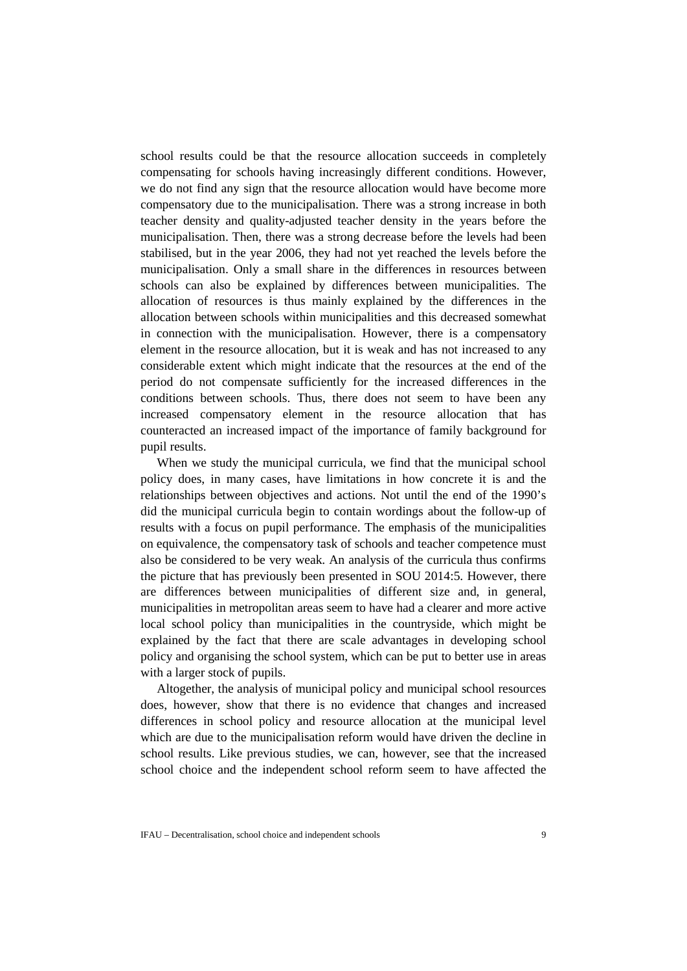school results could be that the resource allocation succeeds in completely compensating for schools having increasingly different conditions. However, we do not find any sign that the resource allocation would have become more compensatory due to the municipalisation. There was a strong increase in both teacher density and quality-adjusted teacher density in the years before the municipalisation. Then, there was a strong decrease before the levels had been stabilised, but in the year 2006, they had not yet reached the levels before the municipalisation. Only a small share in the differences in resources between schools can also be explained by differences between municipalities. The allocation of resources is thus mainly explained by the differences in the allocation between schools within municipalities and this decreased somewhat in connection with the municipalisation. However, there is a compensatory element in the resource allocation, but it is weak and has not increased to any considerable extent which might indicate that the resources at the end of the period do not compensate sufficiently for the increased differences in the conditions between schools. Thus, there does not seem to have been any increased compensatory element in the resource allocation that has counteracted an increased impact of the importance of family background for pupil results.

When we study the municipal curricula, we find that the municipal school policy does, in many cases, have limitations in how concrete it is and the relationships between objectives and actions. Not until the end of the 1990's did the municipal curricula begin to contain wordings about the follow-up of results with a focus on pupil performance. The emphasis of the municipalities on equivalence, the compensatory task of schools and teacher competence must also be considered to be very weak. An analysis of the curricula thus confirms the picture that has previously been presented in SOU 2014:5. However, there are differences between municipalities of different size and, in general, municipalities in metropolitan areas seem to have had a clearer and more active local school policy than municipalities in the countryside, which might be explained by the fact that there are scale advantages in developing school policy and organising the school system, which can be put to better use in areas with a larger stock of pupils.

Altogether, the analysis of municipal policy and municipal school resources does, however, show that there is no evidence that changes and increased differences in school policy and resource allocation at the municipal level which are due to the municipalisation reform would have driven the decline in school results. Like previous studies, we can, however, see that the increased school choice and the independent school reform seem to have affected the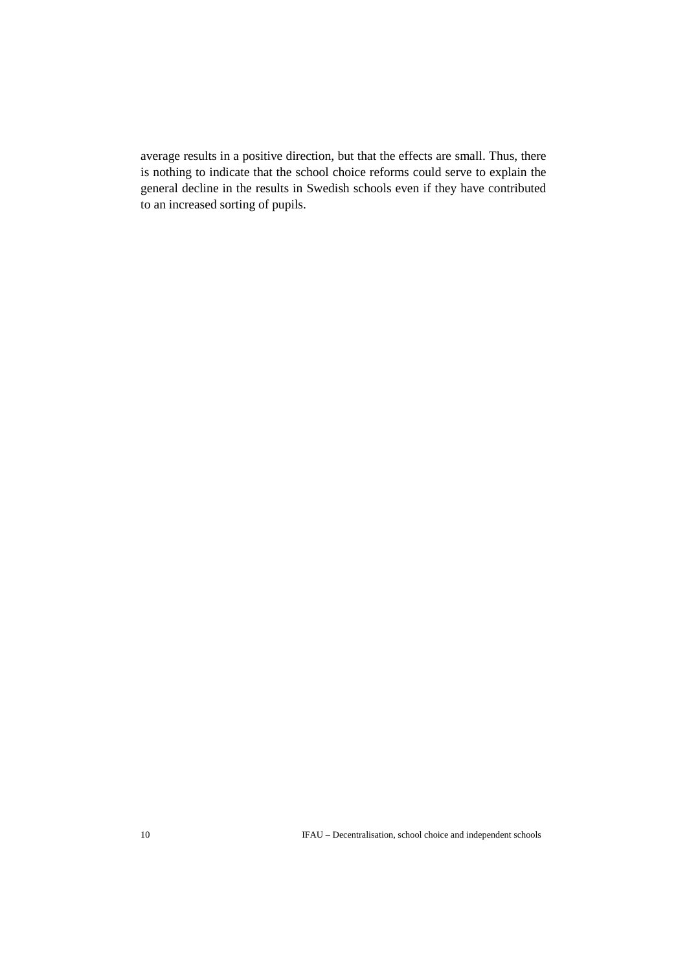average results in a positive direction, but that the effects are small. Thus, there is nothing to indicate that the school choice reforms could serve to explain the general decline in the results in Swedish schools even if they have contributed to an increased sorting of pupils.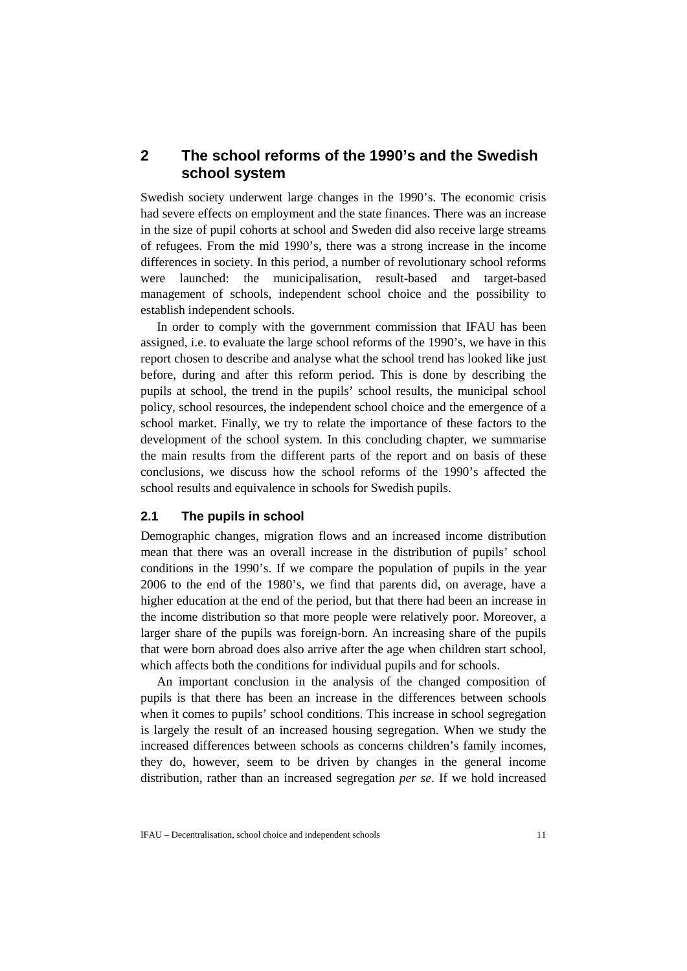# **2 The school reforms of the 1990's and the Swedish school system**

Swedish society underwent large changes in the 1990's. The economic crisis had severe effects on employment and the state finances. There was an increase in the size of pupil cohorts at school and Sweden did also receive large streams of refugees. From the mid 1990's, there was a strong increase in the income differences in society. In this period, a number of revolutionary school reforms were launched: the municipalisation, result-based and target-based management of schools, independent school choice and the possibility to establish independent schools.

In order to comply with the government commission that IFAU has been assigned, i.e. to evaluate the large school reforms of the 1990's, we have in this report chosen to describe and analyse what the school trend has looked like just before, during and after this reform period. This is done by describing the pupils at school, the trend in the pupils' school results, the municipal school policy, school resources, the independent school choice and the emergence of a school market. Finally, we try to relate the importance of these factors to the development of the school system. In this concluding chapter, we summarise the main results from the different parts of the report and on basis of these conclusions, we discuss how the school reforms of the 1990's affected the school results and equivalence in schools for Swedish pupils.

### **2.1 The pupils in school**

Demographic changes, migration flows and an increased income distribution mean that there was an overall increase in the distribution of pupils' school conditions in the 1990's. If we compare the population of pupils in the year 2006 to the end of the 1980's, we find that parents did, on average, have a higher education at the end of the period, but that there had been an increase in the income distribution so that more people were relatively poor. Moreover, a larger share of the pupils was foreign-born. An increasing share of the pupils that were born abroad does also arrive after the age when children start school, which affects both the conditions for individual pupils and for schools.

An important conclusion in the analysis of the changed composition of pupils is that there has been an increase in the differences between schools when it comes to pupils' school conditions. This increase in school segregation is largely the result of an increased housing segregation. When we study the increased differences between schools as concerns children's family incomes, they do, however, seem to be driven by changes in the general income distribution, rather than an increased segregation *per se*. If we hold increased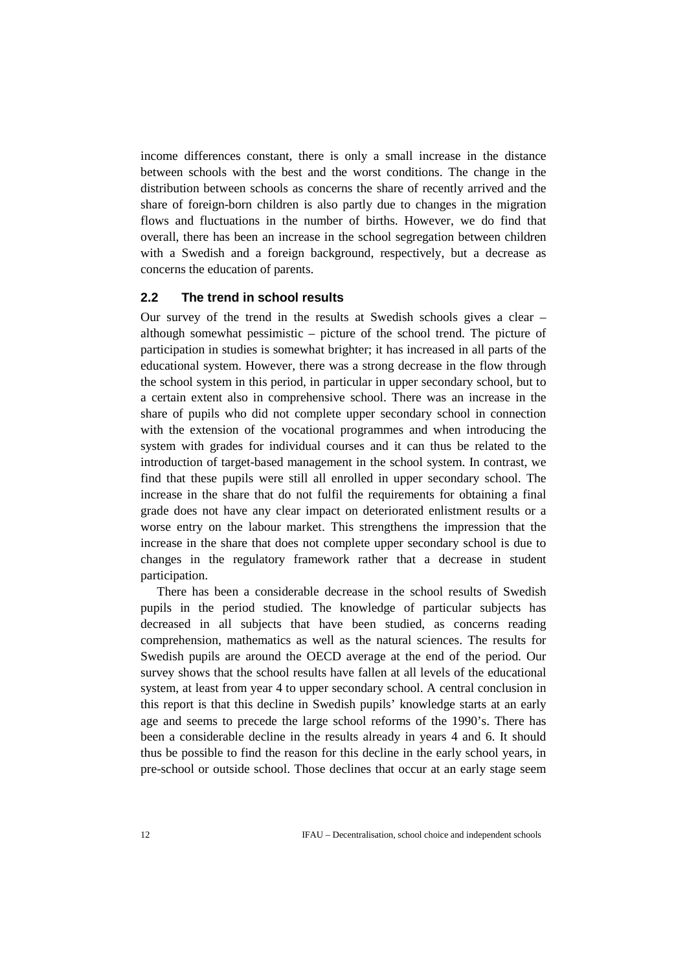income differences constant, there is only a small increase in the distance between schools with the best and the worst conditions. The change in the distribution between schools as concerns the share of recently arrived and the share of foreign-born children is also partly due to changes in the migration flows and fluctuations in the number of births. However, we do find that overall, there has been an increase in the school segregation between children with a Swedish and a foreign background, respectively, but a decrease as concerns the education of parents.

# **2.2 The trend in school results**

Our survey of the trend in the results at Swedish schools gives a clear – although somewhat pessimistic – picture of the school trend. The picture of participation in studies is somewhat brighter; it has increased in all parts of the educational system. However, there was a strong decrease in the flow through the school system in this period, in particular in upper secondary school, but to a certain extent also in comprehensive school. There was an increase in the share of pupils who did not complete upper secondary school in connection with the extension of the vocational programmes and when introducing the system with grades for individual courses and it can thus be related to the introduction of target-based management in the school system. In contrast, we find that these pupils were still all enrolled in upper secondary school. The increase in the share that do not fulfil the requirements for obtaining a final grade does not have any clear impact on deteriorated enlistment results or a worse entry on the labour market. This strengthens the impression that the increase in the share that does not complete upper secondary school is due to changes in the regulatory framework rather that a decrease in student participation.

There has been a considerable decrease in the school results of Swedish pupils in the period studied. The knowledge of particular subjects has decreased in all subjects that have been studied, as concerns reading comprehension, mathematics as well as the natural sciences. The results for Swedish pupils are around the OECD average at the end of the period. Our survey shows that the school results have fallen at all levels of the educational system, at least from year 4 to upper secondary school. A central conclusion in this report is that this decline in Swedish pupils' knowledge starts at an early age and seems to precede the large school reforms of the 1990's. There has been a considerable decline in the results already in years 4 and 6. It should thus be possible to find the reason for this decline in the early school years, in pre-school or outside school. Those declines that occur at an early stage seem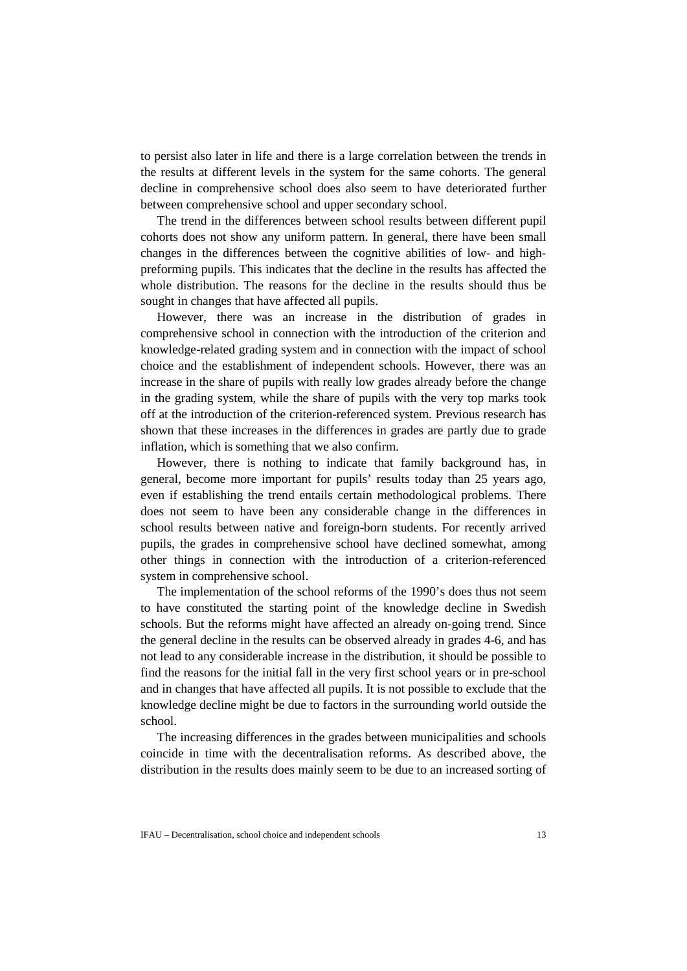to persist also later in life and there is a large correlation between the trends in the results at different levels in the system for the same cohorts. The general decline in comprehensive school does also seem to have deteriorated further between comprehensive school and upper secondary school.

The trend in the differences between school results between different pupil cohorts does not show any uniform pattern. In general, there have been small changes in the differences between the cognitive abilities of low- and highpreforming pupils. This indicates that the decline in the results has affected the whole distribution. The reasons for the decline in the results should thus be sought in changes that have affected all pupils.

However, there was an increase in the distribution of grades in comprehensive school in connection with the introduction of the criterion and knowledge-related grading system and in connection with the impact of school choice and the establishment of independent schools. However, there was an increase in the share of pupils with really low grades already before the change in the grading system, while the share of pupils with the very top marks took off at the introduction of the criterion-referenced system. Previous research has shown that these increases in the differences in grades are partly due to grade inflation, which is something that we also confirm.

However, there is nothing to indicate that family background has, in general, become more important for pupils' results today than 25 years ago, even if establishing the trend entails certain methodological problems. There does not seem to have been any considerable change in the differences in school results between native and foreign-born students. For recently arrived pupils, the grades in comprehensive school have declined somewhat, among other things in connection with the introduction of a criterion-referenced system in comprehensive school.

The implementation of the school reforms of the 1990's does thus not seem to have constituted the starting point of the knowledge decline in Swedish schools. But the reforms might have affected an already on-going trend. Since the general decline in the results can be observed already in grades 4-6, and has not lead to any considerable increase in the distribution, it should be possible to find the reasons for the initial fall in the very first school years or in pre-school and in changes that have affected all pupils. It is not possible to exclude that the knowledge decline might be due to factors in the surrounding world outside the school.

The increasing differences in the grades between municipalities and schools coincide in time with the decentralisation reforms. As described above, the distribution in the results does mainly seem to be due to an increased sorting of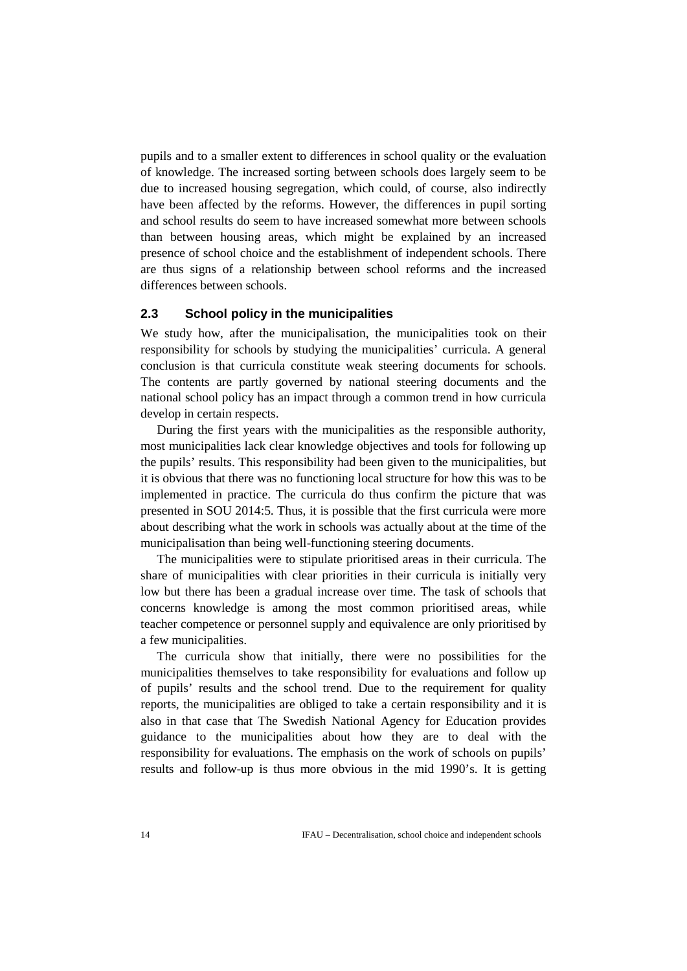pupils and to a smaller extent to differences in school quality or the evaluation of knowledge. The increased sorting between schools does largely seem to be due to increased housing segregation, which could, of course, also indirectly have been affected by the reforms. However, the differences in pupil sorting and school results do seem to have increased somewhat more between schools than between housing areas, which might be explained by an increased presence of school choice and the establishment of independent schools. There are thus signs of a relationship between school reforms and the increased differences between schools.

#### **2.3 School policy in the municipalities**

We study how, after the municipalisation, the municipalities took on their responsibility for schools by studying the municipalities' curricula. A general conclusion is that curricula constitute weak steering documents for schools. The contents are partly governed by national steering documents and the national school policy has an impact through a common trend in how curricula develop in certain respects.

During the first years with the municipalities as the responsible authority, most municipalities lack clear knowledge objectives and tools for following up the pupils' results. This responsibility had been given to the municipalities, but it is obvious that there was no functioning local structure for how this was to be implemented in practice. The curricula do thus confirm the picture that was presented in SOU 2014:5. Thus, it is possible that the first curricula were more about describing what the work in schools was actually about at the time of the municipalisation than being well-functioning steering documents.

The municipalities were to stipulate prioritised areas in their curricula. The share of municipalities with clear priorities in their curricula is initially very low but there has been a gradual increase over time. The task of schools that concerns knowledge is among the most common prioritised areas, while teacher competence or personnel supply and equivalence are only prioritised by a few municipalities.

The curricula show that initially, there were no possibilities for the municipalities themselves to take responsibility for evaluations and follow up of pupils' results and the school trend. Due to the requirement for quality reports, the municipalities are obliged to take a certain responsibility and it is also in that case that The Swedish National Agency for Education provides guidance to the municipalities about how they are to deal with the responsibility for evaluations. The emphasis on the work of schools on pupils' results and follow-up is thus more obvious in the mid 1990's. It is getting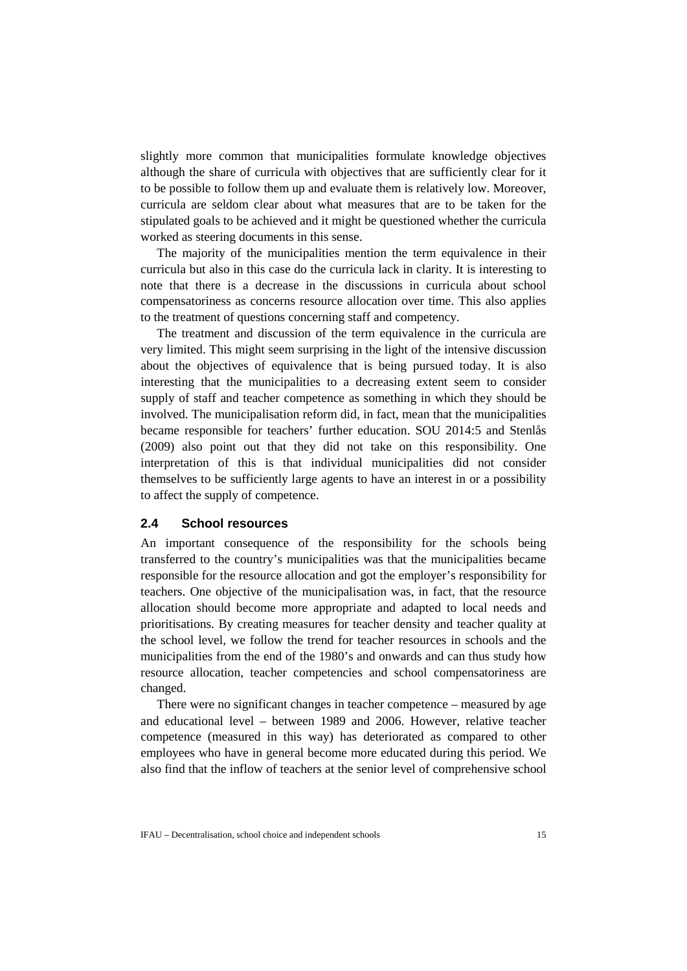slightly more common that municipalities formulate knowledge objectives although the share of curricula with objectives that are sufficiently clear for it to be possible to follow them up and evaluate them is relatively low. Moreover, curricula are seldom clear about what measures that are to be taken for the stipulated goals to be achieved and it might be questioned whether the curricula worked as steering documents in this sense.

The majority of the municipalities mention the term equivalence in their curricula but also in this case do the curricula lack in clarity. It is interesting to note that there is a decrease in the discussions in curricula about school compensatoriness as concerns resource allocation over time. This also applies to the treatment of questions concerning staff and competency.

The treatment and discussion of the term equivalence in the curricula are very limited. This might seem surprising in the light of the intensive discussion about the objectives of equivalence that is being pursued today. It is also interesting that the municipalities to a decreasing extent seem to consider supply of staff and teacher competence as something in which they should be involved. The municipalisation reform did, in fact, mean that the municipalities became responsible for teachers' further education. SOU 2014:5 and Stenlås (2009) also point out that they did not take on this responsibility. One interpretation of this is that individual municipalities did not consider themselves to be sufficiently large agents to have an interest in or a possibility to affect the supply of competence.

### **2.4 School resources**

An important consequence of the responsibility for the schools being transferred to the country's municipalities was that the municipalities became responsible for the resource allocation and got the employer's responsibility for teachers. One objective of the municipalisation was, in fact, that the resource allocation should become more appropriate and adapted to local needs and prioritisations. By creating measures for teacher density and teacher quality at the school level, we follow the trend for teacher resources in schools and the municipalities from the end of the 1980's and onwards and can thus study how resource allocation, teacher competencies and school compensatoriness are changed.

There were no significant changes in teacher competence – measured by age and educational level – between 1989 and 2006. However, relative teacher competence (measured in this way) has deteriorated as compared to other employees who have in general become more educated during this period. We also find that the inflow of teachers at the senior level of comprehensive school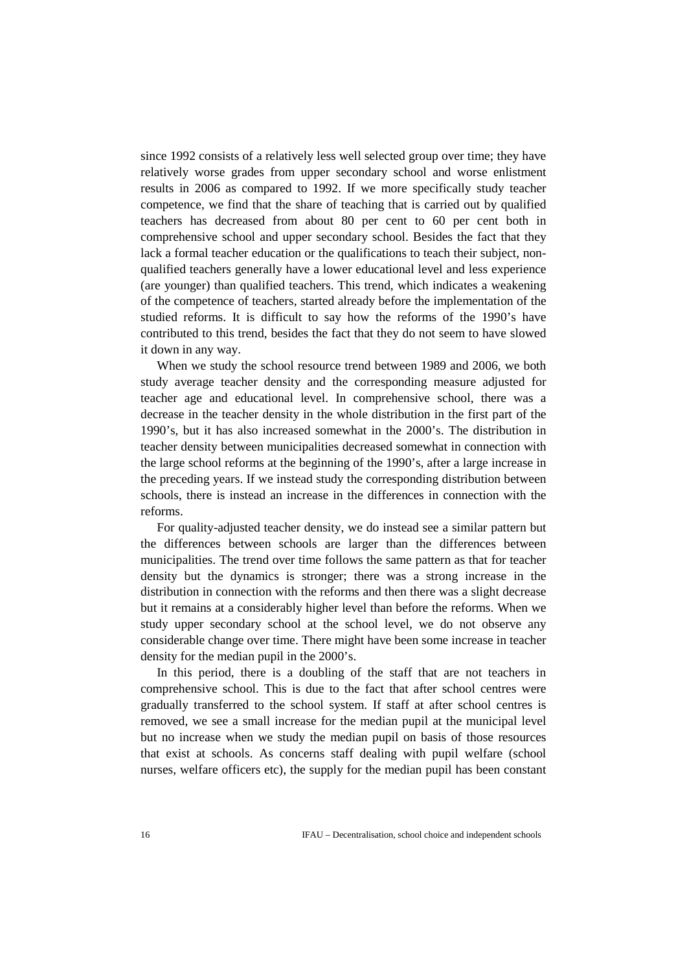since 1992 consists of a relatively less well selected group over time; they have relatively worse grades from upper secondary school and worse enlistment results in 2006 as compared to 1992. If we more specifically study teacher competence, we find that the share of teaching that is carried out by qualified teachers has decreased from about 80 per cent to 60 per cent both in comprehensive school and upper secondary school. Besides the fact that they lack a formal teacher education or the qualifications to teach their subject, nonqualified teachers generally have a lower educational level and less experience (are younger) than qualified teachers. This trend, which indicates a weakening of the competence of teachers, started already before the implementation of the studied reforms. It is difficult to say how the reforms of the 1990's have contributed to this trend, besides the fact that they do not seem to have slowed it down in any way.

When we study the school resource trend between 1989 and 2006, we both study average teacher density and the corresponding measure adjusted for teacher age and educational level. In comprehensive school, there was a decrease in the teacher density in the whole distribution in the first part of the 1990's, but it has also increased somewhat in the 2000's. The distribution in teacher density between municipalities decreased somewhat in connection with the large school reforms at the beginning of the 1990's, after a large increase in the preceding years. If we instead study the corresponding distribution between schools, there is instead an increase in the differences in connection with the reforms.

For quality-adjusted teacher density, we do instead see a similar pattern but the differences between schools are larger than the differences between municipalities. The trend over time follows the same pattern as that for teacher density but the dynamics is stronger; there was a strong increase in the distribution in connection with the reforms and then there was a slight decrease but it remains at a considerably higher level than before the reforms. When we study upper secondary school at the school level, we do not observe any considerable change over time. There might have been some increase in teacher density for the median pupil in the 2000's.

In this period, there is a doubling of the staff that are not teachers in comprehensive school. This is due to the fact that after school centres were gradually transferred to the school system. If staff at after school centres is removed, we see a small increase for the median pupil at the municipal level but no increase when we study the median pupil on basis of those resources that exist at schools. As concerns staff dealing with pupil welfare (school nurses, welfare officers etc), the supply for the median pupil has been constant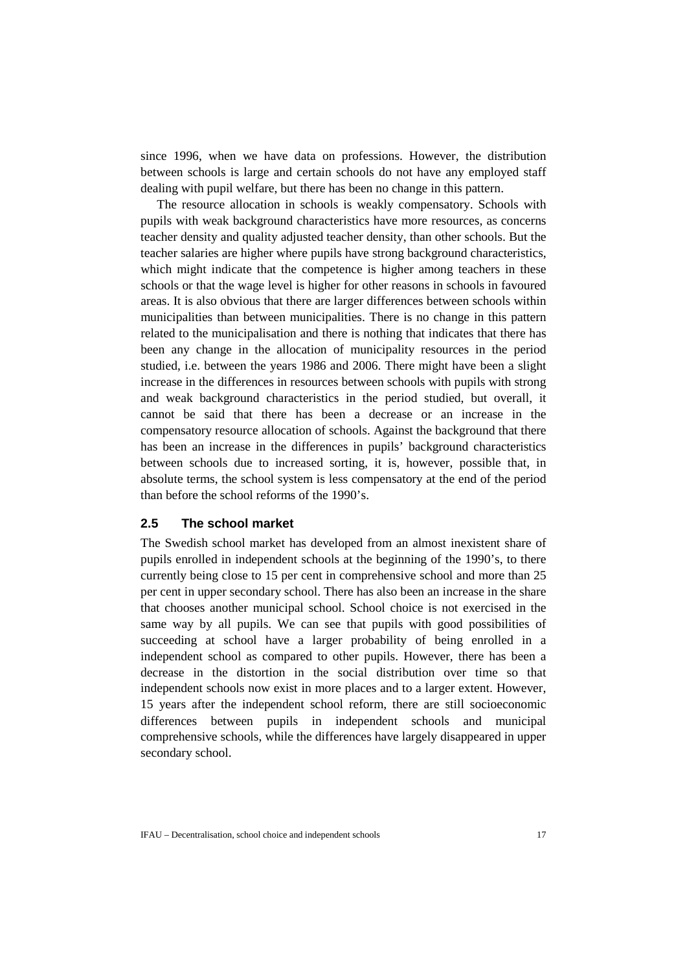since 1996, when we have data on professions. However, the distribution between schools is large and certain schools do not have any employed staff dealing with pupil welfare, but there has been no change in this pattern.

The resource allocation in schools is weakly compensatory. Schools with pupils with weak background characteristics have more resources, as concerns teacher density and quality adjusted teacher density, than other schools. But the teacher salaries are higher where pupils have strong background characteristics, which might indicate that the competence is higher among teachers in these schools or that the wage level is higher for other reasons in schools in favoured areas. It is also obvious that there are larger differences between schools within municipalities than between municipalities. There is no change in this pattern related to the municipalisation and there is nothing that indicates that there has been any change in the allocation of municipality resources in the period studied, i.e. between the years 1986 and 2006. There might have been a slight increase in the differences in resources between schools with pupils with strong and weak background characteristics in the period studied, but overall, it cannot be said that there has been a decrease or an increase in the compensatory resource allocation of schools. Against the background that there has been an increase in the differences in pupils' background characteristics between schools due to increased sorting, it is, however, possible that, in absolute terms, the school system is less compensatory at the end of the period than before the school reforms of the 1990's.

## **2.5 The school market**

The Swedish school market has developed from an almost inexistent share of pupils enrolled in independent schools at the beginning of the 1990's, to there currently being close to 15 per cent in comprehensive school and more than 25 per cent in upper secondary school. There has also been an increase in the share that chooses another municipal school. School choice is not exercised in the same way by all pupils. We can see that pupils with good possibilities of succeeding at school have a larger probability of being enrolled in a independent school as compared to other pupils. However, there has been a decrease in the distortion in the social distribution over time so that independent schools now exist in more places and to a larger extent. However, 15 years after the independent school reform, there are still socioeconomic differences between pupils in independent schools and municipal comprehensive schools, while the differences have largely disappeared in upper secondary school.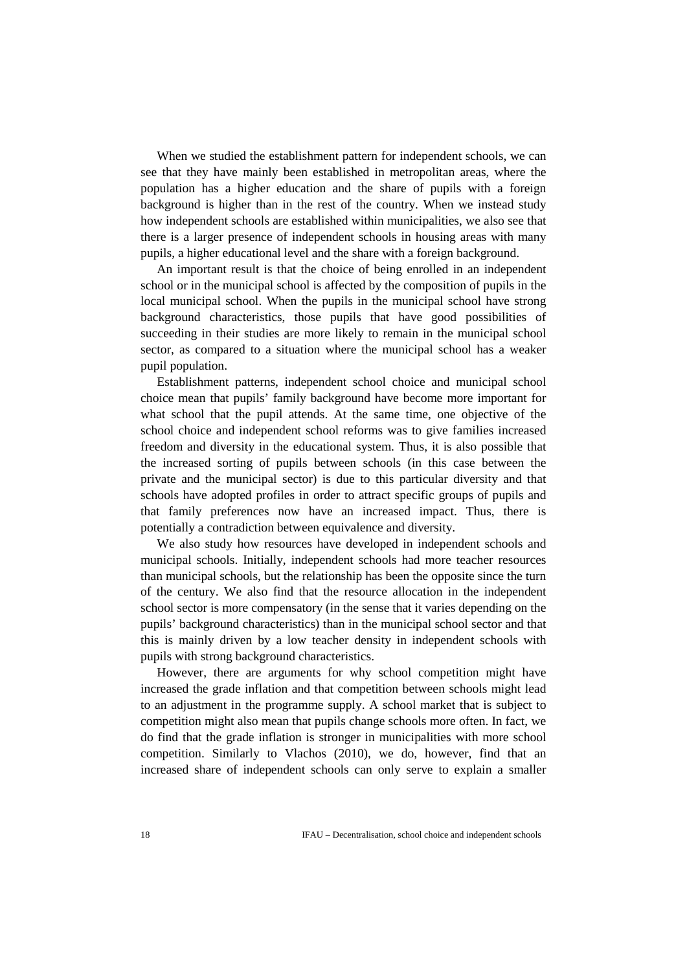When we studied the establishment pattern for independent schools, we can see that they have mainly been established in metropolitan areas, where the population has a higher education and the share of pupils with a foreign background is higher than in the rest of the country. When we instead study how independent schools are established within municipalities, we also see that there is a larger presence of independent schools in housing areas with many pupils, a higher educational level and the share with a foreign background.

An important result is that the choice of being enrolled in an independent school or in the municipal school is affected by the composition of pupils in the local municipal school. When the pupils in the municipal school have strong background characteristics, those pupils that have good possibilities of succeeding in their studies are more likely to remain in the municipal school sector, as compared to a situation where the municipal school has a weaker pupil population.

Establishment patterns, independent school choice and municipal school choice mean that pupils' family background have become more important for what school that the pupil attends. At the same time, one objective of the school choice and independent school reforms was to give families increased freedom and diversity in the educational system. Thus, it is also possible that the increased sorting of pupils between schools (in this case between the private and the municipal sector) is due to this particular diversity and that schools have adopted profiles in order to attract specific groups of pupils and that family preferences now have an increased impact. Thus, there is potentially a contradiction between equivalence and diversity.

We also study how resources have developed in independent schools and municipal schools. Initially, independent schools had more teacher resources than municipal schools, but the relationship has been the opposite since the turn of the century. We also find that the resource allocation in the independent school sector is more compensatory (in the sense that it varies depending on the pupils' background characteristics) than in the municipal school sector and that this is mainly driven by a low teacher density in independent schools with pupils with strong background characteristics.

However, there are arguments for why school competition might have increased the grade inflation and that competition between schools might lead to an adjustment in the programme supply. A school market that is subject to competition might also mean that pupils change schools more often. In fact, we do find that the grade inflation is stronger in municipalities with more school competition. Similarly to Vlachos (2010), we do, however, find that an increased share of independent schools can only serve to explain a smaller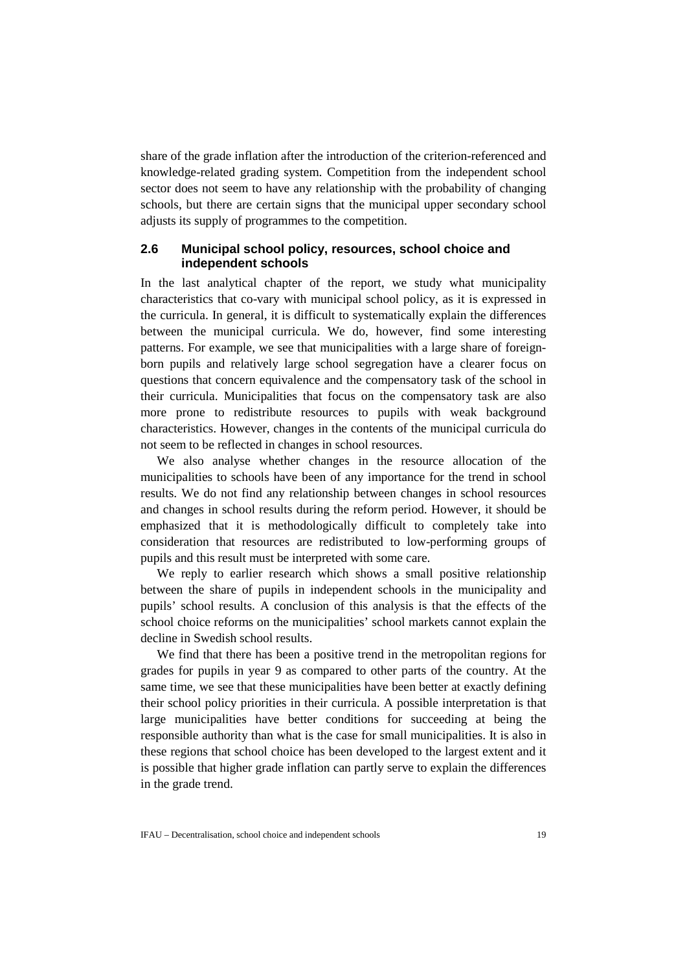share of the grade inflation after the introduction of the criterion-referenced and knowledge-related grading system. Competition from the independent school sector does not seem to have any relationship with the probability of changing schools, but there are certain signs that the municipal upper secondary school adjusts its supply of programmes to the competition.

## **2.6 Municipal school policy, resources, school choice and independent schools**

In the last analytical chapter of the report, we study what municipality characteristics that co-vary with municipal school policy, as it is expressed in the curricula. In general, it is difficult to systematically explain the differences between the municipal curricula. We do, however, find some interesting patterns. For example, we see that municipalities with a large share of foreignborn pupils and relatively large school segregation have a clearer focus on questions that concern equivalence and the compensatory task of the school in their curricula. Municipalities that focus on the compensatory task are also more prone to redistribute resources to pupils with weak background characteristics. However, changes in the contents of the municipal curricula do not seem to be reflected in changes in school resources.

We also analyse whether changes in the resource allocation of the municipalities to schools have been of any importance for the trend in school results. We do not find any relationship between changes in school resources and changes in school results during the reform period. However, it should be emphasized that it is methodologically difficult to completely take into consideration that resources are redistributed to low-performing groups of pupils and this result must be interpreted with some care.

We reply to earlier research which shows a small positive relationship between the share of pupils in independent schools in the municipality and pupils' school results. A conclusion of this analysis is that the effects of the school choice reforms on the municipalities' school markets cannot explain the decline in Swedish school results.

We find that there has been a positive trend in the metropolitan regions for grades for pupils in year 9 as compared to other parts of the country. At the same time, we see that these municipalities have been better at exactly defining their school policy priorities in their curricula. A possible interpretation is that large municipalities have better conditions for succeeding at being the responsible authority than what is the case for small municipalities. It is also in these regions that school choice has been developed to the largest extent and it is possible that higher grade inflation can partly serve to explain the differences in the grade trend.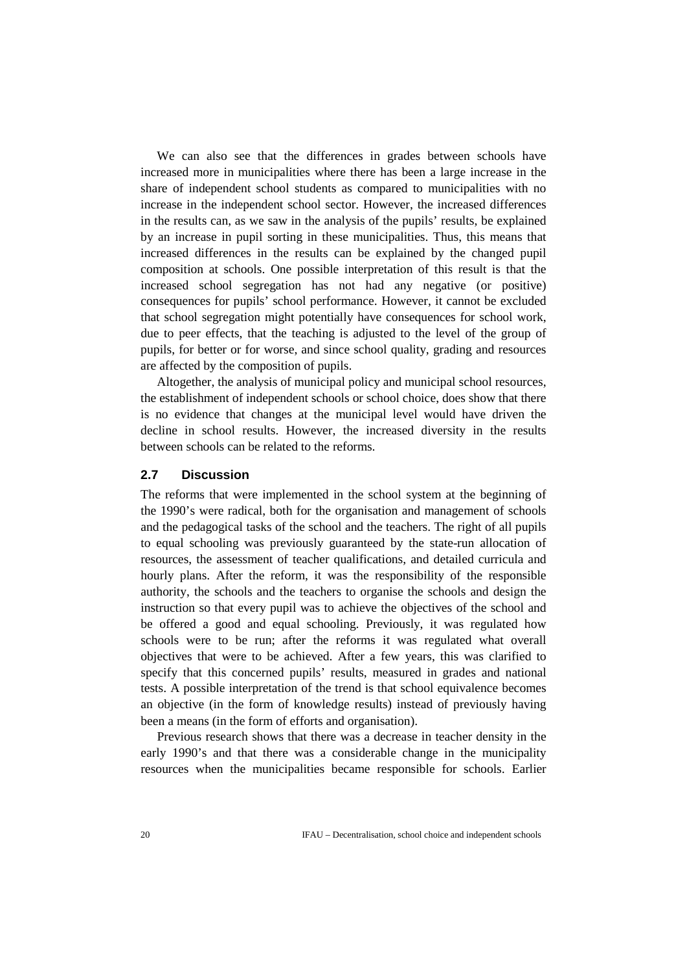We can also see that the differences in grades between schools have increased more in municipalities where there has been a large increase in the share of independent school students as compared to municipalities with no increase in the independent school sector. However, the increased differences in the results can, as we saw in the analysis of the pupils' results, be explained by an increase in pupil sorting in these municipalities. Thus, this means that increased differences in the results can be explained by the changed pupil composition at schools. One possible interpretation of this result is that the increased school segregation has not had any negative (or positive) consequences for pupils' school performance. However, it cannot be excluded that school segregation might potentially have consequences for school work, due to peer effects, that the teaching is adjusted to the level of the group of pupils, for better or for worse, and since school quality, grading and resources are affected by the composition of pupils.

Altogether, the analysis of municipal policy and municipal school resources, the establishment of independent schools or school choice, does show that there is no evidence that changes at the municipal level would have driven the decline in school results. However, the increased diversity in the results between schools can be related to the reforms.

### **2.7 Discussion**

The reforms that were implemented in the school system at the beginning of the 1990's were radical, both for the organisation and management of schools and the pedagogical tasks of the school and the teachers. The right of all pupils to equal schooling was previously guaranteed by the state-run allocation of resources, the assessment of teacher qualifications, and detailed curricula and hourly plans. After the reform, it was the responsibility of the responsible authority, the schools and the teachers to organise the schools and design the instruction so that every pupil was to achieve the objectives of the school and be offered a good and equal schooling. Previously, it was regulated how schools were to be run; after the reforms it was regulated what overall objectives that were to be achieved. After a few years, this was clarified to specify that this concerned pupils' results, measured in grades and national tests. A possible interpretation of the trend is that school equivalence becomes an objective (in the form of knowledge results) instead of previously having been a means (in the form of efforts and organisation).

Previous research shows that there was a decrease in teacher density in the early 1990's and that there was a considerable change in the municipality resources when the municipalities became responsible for schools. Earlier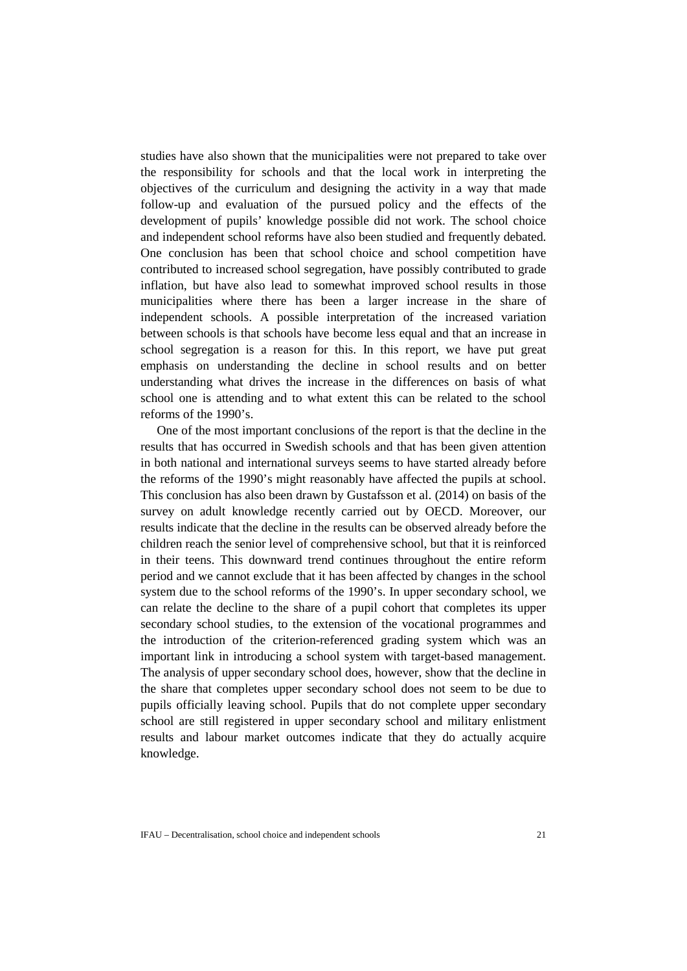studies have also shown that the municipalities were not prepared to take over the responsibility for schools and that the local work in interpreting the objectives of the curriculum and designing the activity in a way that made follow-up and evaluation of the pursued policy and the effects of the development of pupils' knowledge possible did not work. The school choice and independent school reforms have also been studied and frequently debated. One conclusion has been that school choice and school competition have contributed to increased school segregation, have possibly contributed to grade inflation, but have also lead to somewhat improved school results in those municipalities where there has been a larger increase in the share of independent schools. A possible interpretation of the increased variation between schools is that schools have become less equal and that an increase in school segregation is a reason for this. In this report, we have put great emphasis on understanding the decline in school results and on better understanding what drives the increase in the differences on basis of what school one is attending and to what extent this can be related to the school reforms of the 1990's.

One of the most important conclusions of the report is that the decline in the results that has occurred in Swedish schools and that has been given attention in both national and international surveys seems to have started already before the reforms of the 1990's might reasonably have affected the pupils at school. This conclusion has also been drawn by Gustafsson et al. (2014) on basis of the survey on adult knowledge recently carried out by OECD. Moreover, our results indicate that the decline in the results can be observed already before the children reach the senior level of comprehensive school, but that it is reinforced in their teens. This downward trend continues throughout the entire reform period and we cannot exclude that it has been affected by changes in the school system due to the school reforms of the 1990's. In upper secondary school, we can relate the decline to the share of a pupil cohort that completes its upper secondary school studies, to the extension of the vocational programmes and the introduction of the criterion-referenced grading system which was an important link in introducing a school system with target-based management. The analysis of upper secondary school does, however, show that the decline in the share that completes upper secondary school does not seem to be due to pupils officially leaving school. Pupils that do not complete upper secondary school are still registered in upper secondary school and military enlistment results and labour market outcomes indicate that they do actually acquire knowledge.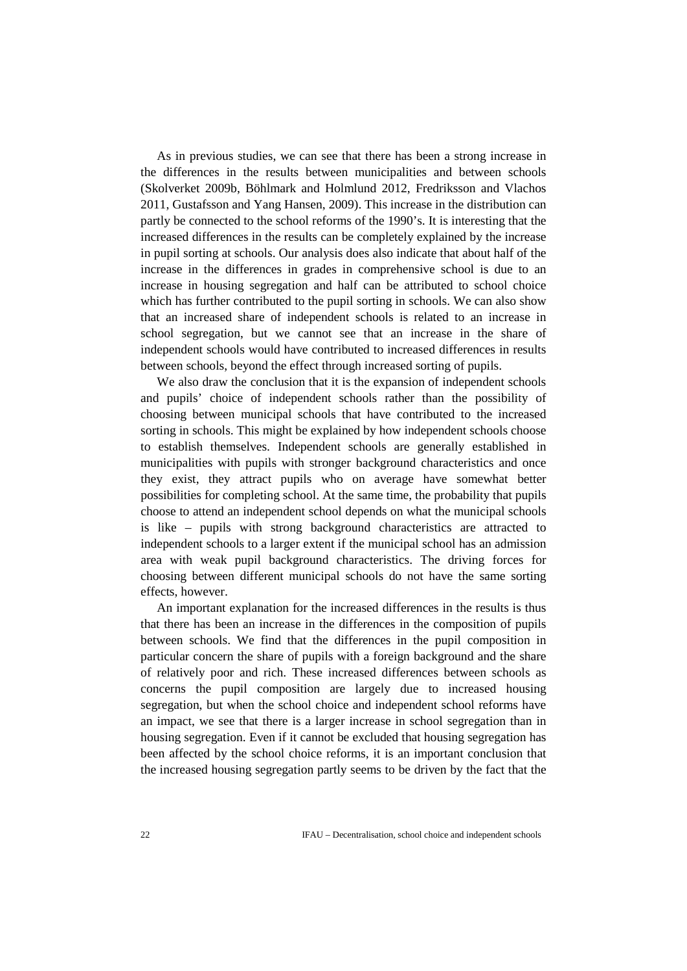As in previous studies, we can see that there has been a strong increase in the differences in the results between municipalities and between schools (Skolverket 2009b, Böhlmark and Holmlund 2012, Fredriksson and Vlachos 2011, Gustafsson and Yang Hansen, 2009). This increase in the distribution can partly be connected to the school reforms of the 1990's. It is interesting that the increased differences in the results can be completely explained by the increase in pupil sorting at schools. Our analysis does also indicate that about half of the increase in the differences in grades in comprehensive school is due to an increase in housing segregation and half can be attributed to school choice which has further contributed to the pupil sorting in schools. We can also show that an increased share of independent schools is related to an increase in school segregation, but we cannot see that an increase in the share of independent schools would have contributed to increased differences in results between schools, beyond the effect through increased sorting of pupils.

We also draw the conclusion that it is the expansion of independent schools and pupils' choice of independent schools rather than the possibility of choosing between municipal schools that have contributed to the increased sorting in schools. This might be explained by how independent schools choose to establish themselves. Independent schools are generally established in municipalities with pupils with stronger background characteristics and once they exist, they attract pupils who on average have somewhat better possibilities for completing school. At the same time, the probability that pupils choose to attend an independent school depends on what the municipal schools is like – pupils with strong background characteristics are attracted to independent schools to a larger extent if the municipal school has an admission area with weak pupil background characteristics. The driving forces for choosing between different municipal schools do not have the same sorting effects, however.

An important explanation for the increased differences in the results is thus that there has been an increase in the differences in the composition of pupils between schools. We find that the differences in the pupil composition in particular concern the share of pupils with a foreign background and the share of relatively poor and rich. These increased differences between schools as concerns the pupil composition are largely due to increased housing segregation, but when the school choice and independent school reforms have an impact, we see that there is a larger increase in school segregation than in housing segregation. Even if it cannot be excluded that housing segregation has been affected by the school choice reforms, it is an important conclusion that the increased housing segregation partly seems to be driven by the fact that the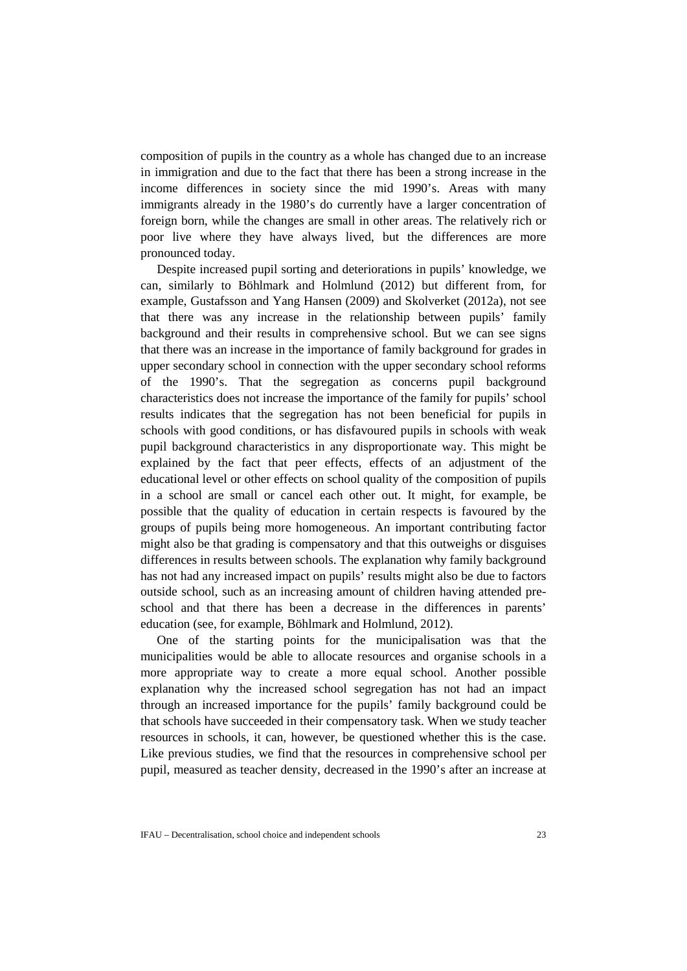composition of pupils in the country as a whole has changed due to an increase in immigration and due to the fact that there has been a strong increase in the income differences in society since the mid 1990's. Areas with many immigrants already in the 1980's do currently have a larger concentration of foreign born, while the changes are small in other areas. The relatively rich or poor live where they have always lived, but the differences are more pronounced today.

Despite increased pupil sorting and deteriorations in pupils' knowledge, we can, similarly to Böhlmark and Holmlund (2012) but different from, for example, Gustafsson and Yang Hansen (2009) and Skolverket (2012a), not see that there was any increase in the relationship between pupils' family background and their results in comprehensive school. But we can see signs that there was an increase in the importance of family background for grades in upper secondary school in connection with the upper secondary school reforms of the 1990's. That the segregation as concerns pupil background characteristics does not increase the importance of the family for pupils' school results indicates that the segregation has not been beneficial for pupils in schools with good conditions, or has disfavoured pupils in schools with weak pupil background characteristics in any disproportionate way. This might be explained by the fact that peer effects, effects of an adjustment of the educational level or other effects on school quality of the composition of pupils in a school are small or cancel each other out. It might, for example, be possible that the quality of education in certain respects is favoured by the groups of pupils being more homogeneous. An important contributing factor might also be that grading is compensatory and that this outweighs or disguises differences in results between schools. The explanation why family background has not had any increased impact on pupils' results might also be due to factors outside school, such as an increasing amount of children having attended preschool and that there has been a decrease in the differences in parents' education (see, for example, Böhlmark and Holmlund, 2012).

One of the starting points for the municipalisation was that the municipalities would be able to allocate resources and organise schools in a more appropriate way to create a more equal school. Another possible explanation why the increased school segregation has not had an impact through an increased importance for the pupils' family background could be that schools have succeeded in their compensatory task. When we study teacher resources in schools, it can, however, be questioned whether this is the case. Like previous studies, we find that the resources in comprehensive school per pupil, measured as teacher density, decreased in the 1990's after an increase at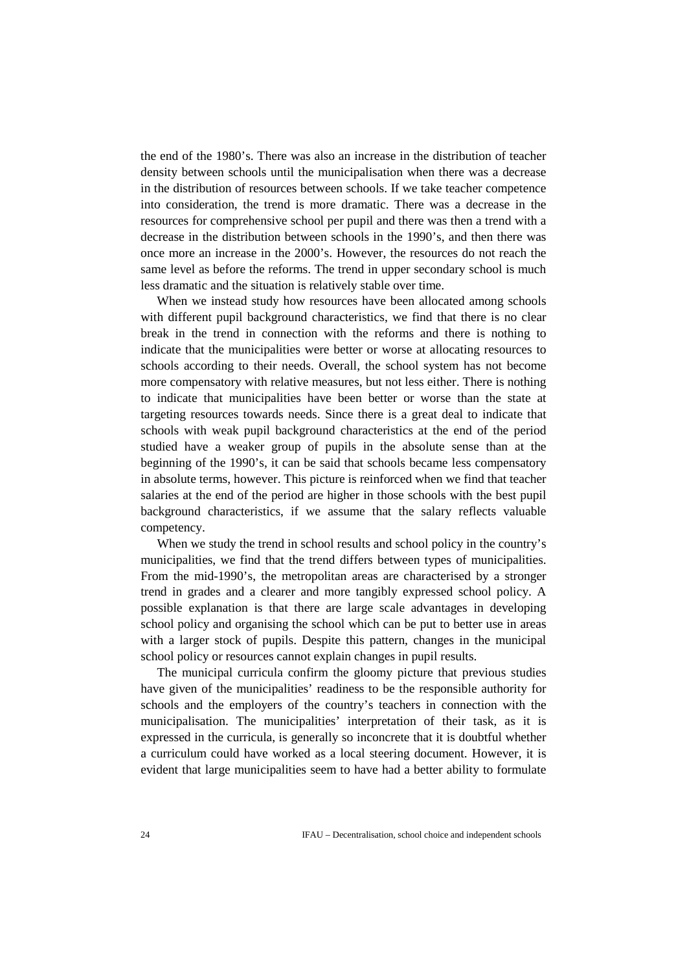the end of the 1980's. There was also an increase in the distribution of teacher density between schools until the municipalisation when there was a decrease in the distribution of resources between schools. If we take teacher competence into consideration, the trend is more dramatic. There was a decrease in the resources for comprehensive school per pupil and there was then a trend with a decrease in the distribution between schools in the 1990's, and then there was once more an increase in the 2000's. However, the resources do not reach the same level as before the reforms. The trend in upper secondary school is much less dramatic and the situation is relatively stable over time.

When we instead study how resources have been allocated among schools with different pupil background characteristics, we find that there is no clear break in the trend in connection with the reforms and there is nothing to indicate that the municipalities were better or worse at allocating resources to schools according to their needs. Overall, the school system has not become more compensatory with relative measures, but not less either. There is nothing to indicate that municipalities have been better or worse than the state at targeting resources towards needs. Since there is a great deal to indicate that schools with weak pupil background characteristics at the end of the period studied have a weaker group of pupils in the absolute sense than at the beginning of the 1990's, it can be said that schools became less compensatory in absolute terms, however. This picture is reinforced when we find that teacher salaries at the end of the period are higher in those schools with the best pupil background characteristics, if we assume that the salary reflects valuable competency.

When we study the trend in school results and school policy in the country's municipalities, we find that the trend differs between types of municipalities. From the mid-1990's, the metropolitan areas are characterised by a stronger trend in grades and a clearer and more tangibly expressed school policy. A possible explanation is that there are large scale advantages in developing school policy and organising the school which can be put to better use in areas with a larger stock of pupils. Despite this pattern, changes in the municipal school policy or resources cannot explain changes in pupil results.

The municipal curricula confirm the gloomy picture that previous studies have given of the municipalities' readiness to be the responsible authority for schools and the employers of the country's teachers in connection with the municipalisation. The municipalities' interpretation of their task, as it is expressed in the curricula, is generally so inconcrete that it is doubtful whether a curriculum could have worked as a local steering document. However, it is evident that large municipalities seem to have had a better ability to formulate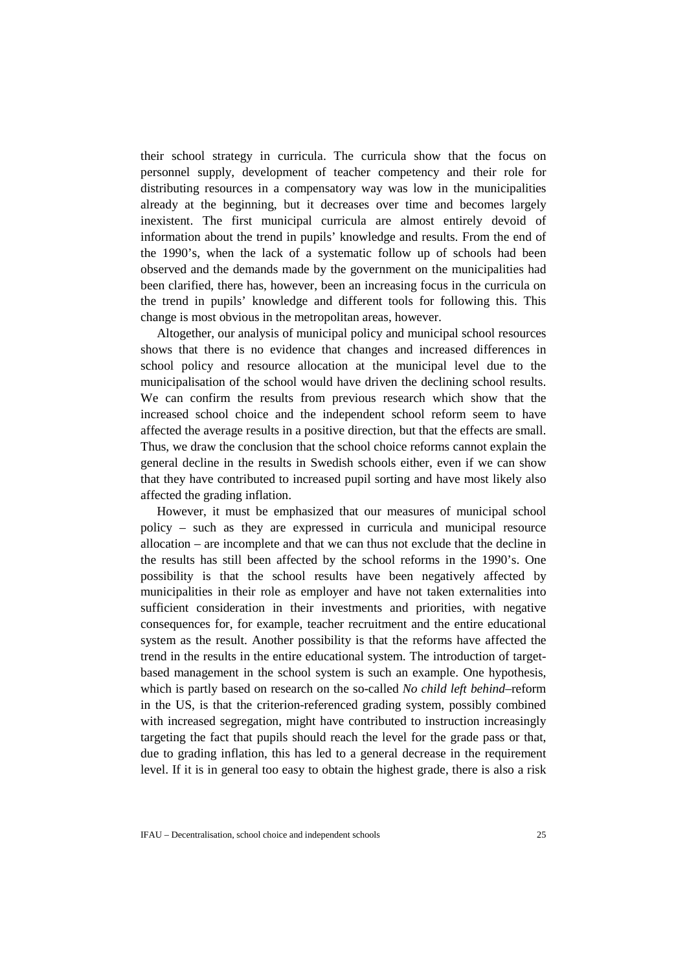their school strategy in curricula. The curricula show that the focus on personnel supply, development of teacher competency and their role for distributing resources in a compensatory way was low in the municipalities already at the beginning, but it decreases over time and becomes largely inexistent. The first municipal curricula are almost entirely devoid of information about the trend in pupils' knowledge and results. From the end of the 1990's, when the lack of a systematic follow up of schools had been observed and the demands made by the government on the municipalities had been clarified, there has, however, been an increasing focus in the curricula on the trend in pupils' knowledge and different tools for following this. This change is most obvious in the metropolitan areas, however.

Altogether, our analysis of municipal policy and municipal school resources shows that there is no evidence that changes and increased differences in school policy and resource allocation at the municipal level due to the municipalisation of the school would have driven the declining school results. We can confirm the results from previous research which show that the increased school choice and the independent school reform seem to have affected the average results in a positive direction, but that the effects are small. Thus, we draw the conclusion that the school choice reforms cannot explain the general decline in the results in Swedish schools either, even if we can show that they have contributed to increased pupil sorting and have most likely also affected the grading inflation.

However, it must be emphasized that our measures of municipal school policy – such as they are expressed in curricula and municipal resource allocation – are incomplete and that we can thus not exclude that the decline in the results has still been affected by the school reforms in the 1990's. One possibility is that the school results have been negatively affected by municipalities in their role as employer and have not taken externalities into sufficient consideration in their investments and priorities, with negative consequences for, for example, teacher recruitment and the entire educational system as the result. Another possibility is that the reforms have affected the trend in the results in the entire educational system. The introduction of targetbased management in the school system is such an example. One hypothesis, which is partly based on research on the so-called *No child left behind*–reform in the US, is that the criterion-referenced grading system, possibly combined with increased segregation, might have contributed to instruction increasingly targeting the fact that pupils should reach the level for the grade pass or that, due to grading inflation, this has led to a general decrease in the requirement level. If it is in general too easy to obtain the highest grade, there is also a risk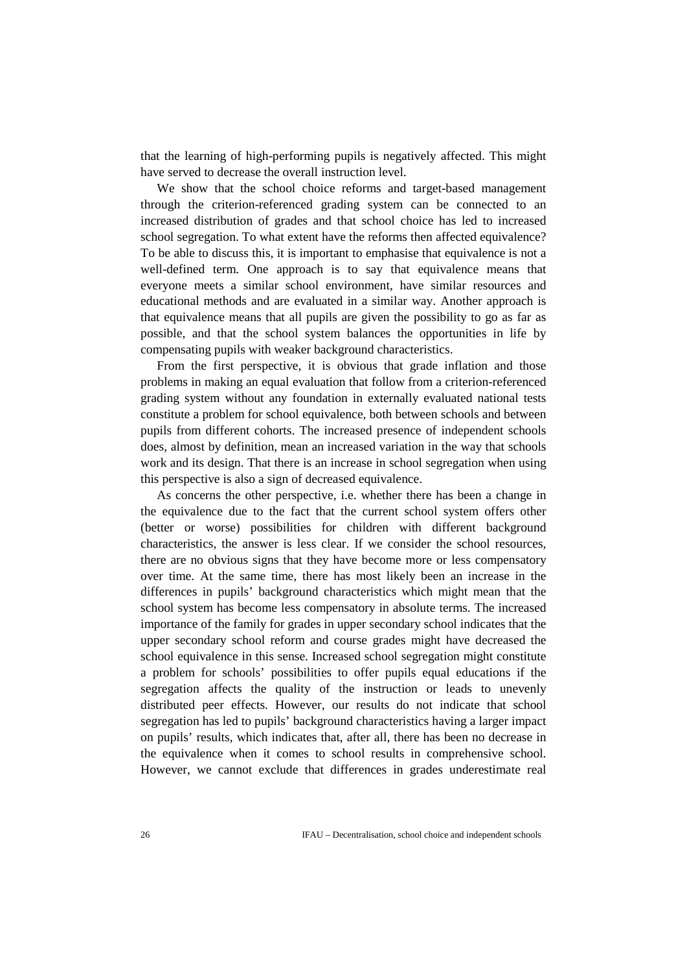that the learning of high-performing pupils is negatively affected. This might have served to decrease the overall instruction level.

We show that the school choice reforms and target-based management through the criterion-referenced grading system can be connected to an increased distribution of grades and that school choice has led to increased school segregation. To what extent have the reforms then affected equivalence? To be able to discuss this, it is important to emphasise that equivalence is not a well-defined term. One approach is to say that equivalence means that everyone meets a similar school environment, have similar resources and educational methods and are evaluated in a similar way. Another approach is that equivalence means that all pupils are given the possibility to go as far as possible, and that the school system balances the opportunities in life by compensating pupils with weaker background characteristics.

From the first perspective, it is obvious that grade inflation and those problems in making an equal evaluation that follow from a criterion-referenced grading system without any foundation in externally evaluated national tests constitute a problem for school equivalence, both between schools and between pupils from different cohorts. The increased presence of independent schools does, almost by definition, mean an increased variation in the way that schools work and its design. That there is an increase in school segregation when using this perspective is also a sign of decreased equivalence.

As concerns the other perspective, i.e. whether there has been a change in the equivalence due to the fact that the current school system offers other (better or worse) possibilities for children with different background characteristics, the answer is less clear. If we consider the school resources, there are no obvious signs that they have become more or less compensatory over time. At the same time, there has most likely been an increase in the differences in pupils' background characteristics which might mean that the school system has become less compensatory in absolute terms. The increased importance of the family for grades in upper secondary school indicates that the upper secondary school reform and course grades might have decreased the school equivalence in this sense. Increased school segregation might constitute a problem for schools' possibilities to offer pupils equal educations if the segregation affects the quality of the instruction or leads to unevenly distributed peer effects. However, our results do not indicate that school segregation has led to pupils' background characteristics having a larger impact on pupils' results, which indicates that, after all, there has been no decrease in the equivalence when it comes to school results in comprehensive school. However, we cannot exclude that differences in grades underestimate real